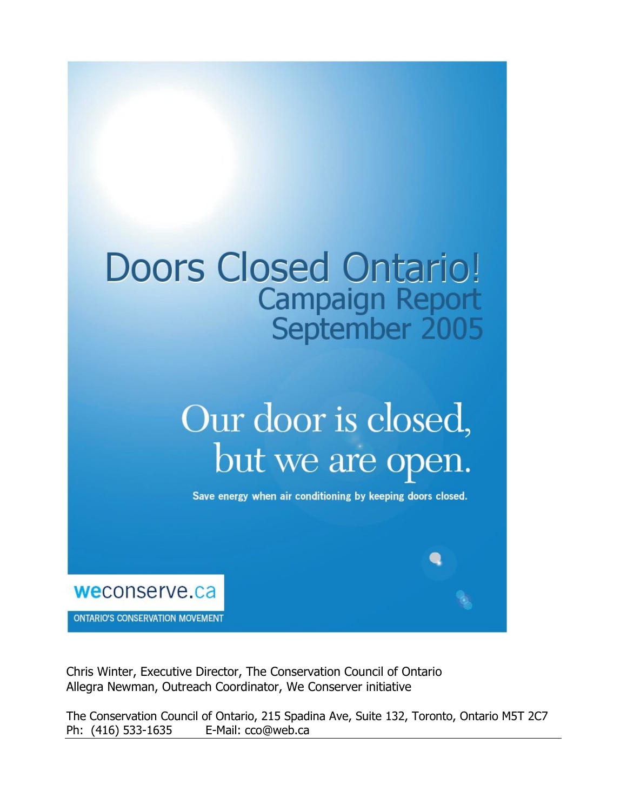## **Doors Closed Ontario! Campaign Report** September 2005

# Our door is closed, but we are open.

Save energy when air conditioning by keeping doors closed.



**ONTARIO'S CONSERVATION MOVEMENT** 

Chris Winter, Executive Director, The Conservation Council of Ontario Allegra Newman, Outreach Coordinator, We Conserver initiative

The Conservation Council of Ontario, 215 Spadina Ave, Suite 132, Toronto, Ontario M5T 2C7 Ph: (416) 533-1635 E-Mail: cco@web.ca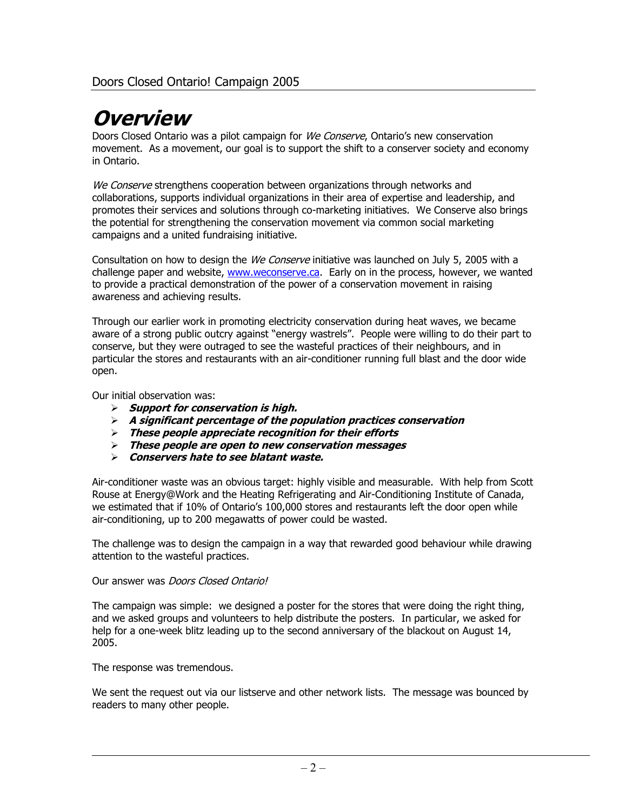#### **Overview**

Doors Closed Ontario was a pilot campaign for We Conserve, Ontario's new conservation movement. As a movement, our goal is to support the shift to a conserver society and economy in Ontario.

We Conserve strengthens cooperation between organizations through networks and collaborations, supports individual organizations in their area of expertise and leadership, and promotes their services and solutions through co-marketing initiatives. We Conserve also brings the potential for strengthening the conservation movement via common social marketing campaigns and a united fundraising initiative.

Consultation on how to design the We Conserve initiative was launched on July 5, 2005 with a challenge paper and website, www.weconserve.ca. Early on in the process, however, we wanted to provide a practical demonstration of the power of a conservation movement in raising awareness and achieving results.

Through our earlier work in promoting electricity conservation during heat waves, we became aware of a strong public outcry against "energy wastrels". People were willing to do their part to conserve, but they were outraged to see the wasteful practices of their neighbours, and in particular the stores and restaurants with an air-conditioner running full blast and the door wide open.

Our initial observation was:

- **Support for conservation is high.**
- **A significant percentage of the population practices conservation**
- **These people appreciate recognition for their efforts**
- **These people are open to new conservation messages**
- **Conservers hate to see blatant waste.**

Air-conditioner waste was an obvious target: highly visible and measurable. With help from Scott Rouse at Energy@Work and the Heating Refrigerating and Air-Conditioning Institute of Canada, we estimated that if 10% of Ontario's 100,000 stores and restaurants left the door open while air-conditioning, up to 200 megawatts of power could be wasted.

The challenge was to design the campaign in a way that rewarded good behaviour while drawing attention to the wasteful practices.

#### Our answer was Doors Closed Ontario!

The campaign was simple: we designed a poster for the stores that were doing the right thing, and we asked groups and volunteers to help distribute the posters. In particular, we asked for help for a one-week blitz leading up to the second anniversary of the blackout on August 14, 2005.

The response was tremendous.

We sent the request out via our listserve and other network lists. The message was bounced by readers to many other people.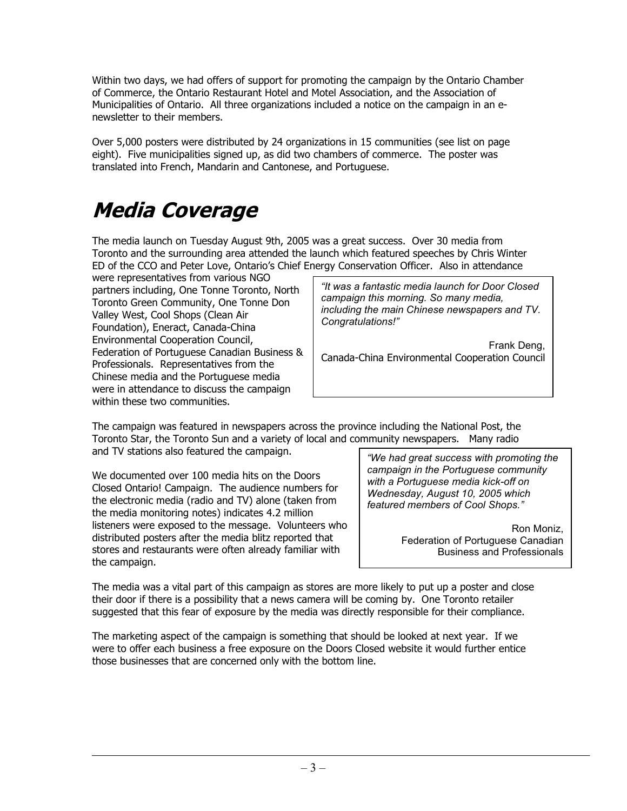Within two days, we had offers of support for promoting the campaign by the Ontario Chamber of Commerce, the Ontario Restaurant Hotel and Motel Association, and the Association of Municipalities of Ontario. All three organizations included a notice on the campaign in an enewsletter to their members.

Over 5,000 posters were distributed by 24 organizations in 15 communities (see list on page eight). Five municipalities signed up, as did two chambers of commerce. The poster was translated into French, Mandarin and Cantonese, and Portuguese.

### **Media Coverage**

The media launch on Tuesday August 9th, 2005 was a great success. Over 30 media from Toronto and the surrounding area attended the launch which featured speeches by Chris Winter ED of the CCO and Peter Love, Ontario's Chief Energy Conservation Officer. Also in attendance

were representatives from various NGO partners including, One Tonne Toronto, North Toronto Green Community, One Tonne Don Valley West, Cool Shops (Clean Air Foundation), Eneract, Canada-China Environmental Cooperation Council, Federation of Portuguese Canadian Business & Professionals. Representatives from the Chinese media and the Portuguese media were in attendance to discuss the campaign within these two communities.

*"It was a fantastic media launch for Door Closed campaign this morning. So many media, including the main Chinese newspapers and TV. Congratulations!"* 

Frank Deng, Canada-China Environmental Cooperation Council

The campaign was featured in newspapers across the province including the National Post, the Toronto Star, the Toronto Sun and a variety of local and community newspapers. Many radio and TV stations also featured the campaign.

We documented over 100 media hits on the Doors Closed Ontario! Campaign. The audience numbers for the electronic media (radio and TV) alone (taken from the media monitoring notes) indicates 4.2 million listeners were exposed to the message. Volunteers who distributed posters after the media blitz reported that stores and restaurants were often already familiar with the campaign.

*"We had great success with promoting the campaign in the Portuguese community with a Portuguese media kick-off on Wednesday, August 10, 2005 which featured members of Cool Shops."* 

> Ron Moniz, Federation of Portuguese Canadian Business and Professionals

The media was a vital part of this campaign as stores are more likely to put up a poster and close their door if there is a possibility that a news camera will be coming by. One Toronto retailer suggested that this fear of exposure by the media was directly responsible for their compliance.

The marketing aspect of the campaign is something that should be looked at next year. If we were to offer each business a free exposure on the Doors Closed website it would further entice those businesses that are concerned only with the bottom line.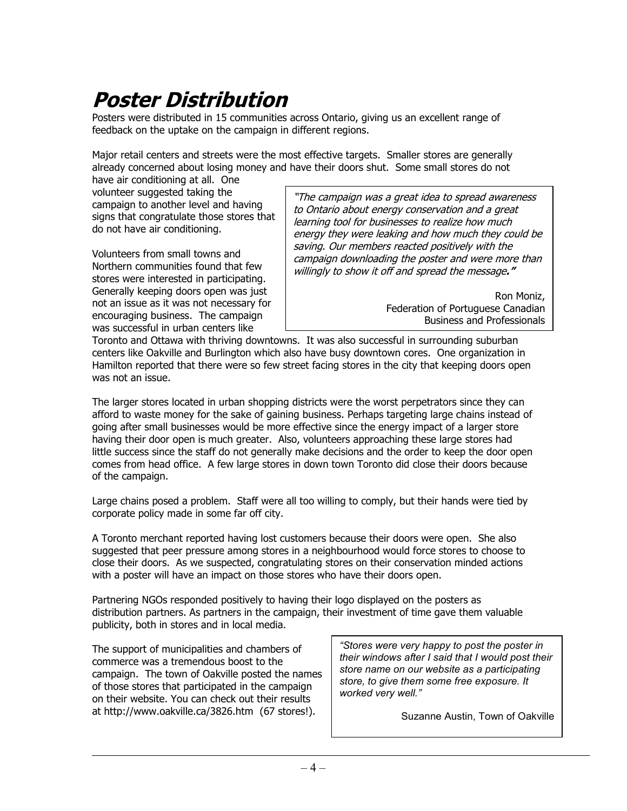### **Poster Distribution**

Posters were distributed in 15 communities across Ontario, giving us an excellent range of feedback on the uptake on the campaign in different regions.

Major retail centers and streets were the most effective targets. Smaller stores are generally already concerned about losing money and have their doors shut. Some small stores do not

have air conditioning at all. One volunteer suggested taking the campaign to another level and having signs that congratulate those stores that do not have air conditioning.

Volunteers from small towns and Northern communities found that few stores were interested in participating. Generally keeping doors open was just not an issue as it was not necessary for encouraging business. The campaign was successful in urban centers like

"The campaign was a great idea to spread awareness to Ontario about energy conservation and a great learning tool for businesses to realize how much energy they were leaking and how much they could be saving. Our members reacted positively with the campaign downloading the poster and were more than willingly to show it off and spread the message**."** 

> Ron Moniz, Federation of Portuguese Canadian Business and Professionals

Toronto and Ottawa with thriving downtowns. It was also successful in surrounding suburban centers like Oakville and Burlington which also have busy downtown cores. One organization in Hamilton reported that there were so few street facing stores in the city that keeping doors open was not an issue.

The larger stores located in urban shopping districts were the worst perpetrators since they can afford to waste money for the sake of gaining business. Perhaps targeting large chains instead of going after small businesses would be more effective since the energy impact of a larger store having their door open is much greater. Also, volunteers approaching these large stores had little success since the staff do not generally make decisions and the order to keep the door open comes from head office. A few large stores in down town Toronto did close their doors because of the campaign.

Large chains posed a problem. Staff were all too willing to comply, but their hands were tied by corporate policy made in some far off city.

A Toronto merchant reported having lost customers because their doors were open. She also suggested that peer pressure among stores in a neighbourhood would force stores to choose to close their doors. As we suspected, congratulating stores on their conservation minded actions with a poster will have an impact on those stores who have their doors open.

Partnering NGOs responded positively to having their logo displayed on the posters as distribution partners. As partners in the campaign, their investment of time gave them valuable publicity, both in stores and in local media.

The support of municipalities and chambers of commerce was a tremendous boost to the campaign. The town of Oakville posted the names of those stores that participated in the campaign on their website. You can check out their results at http://www.oakville.ca/3826.htm (67 stores!).

*"Stores were very happy to post the poster in their windows after I said that I would post their store name on our website as a participating store, to give them some free exposure. It worked very well."* 

Suzanne Austin, Town of Oakville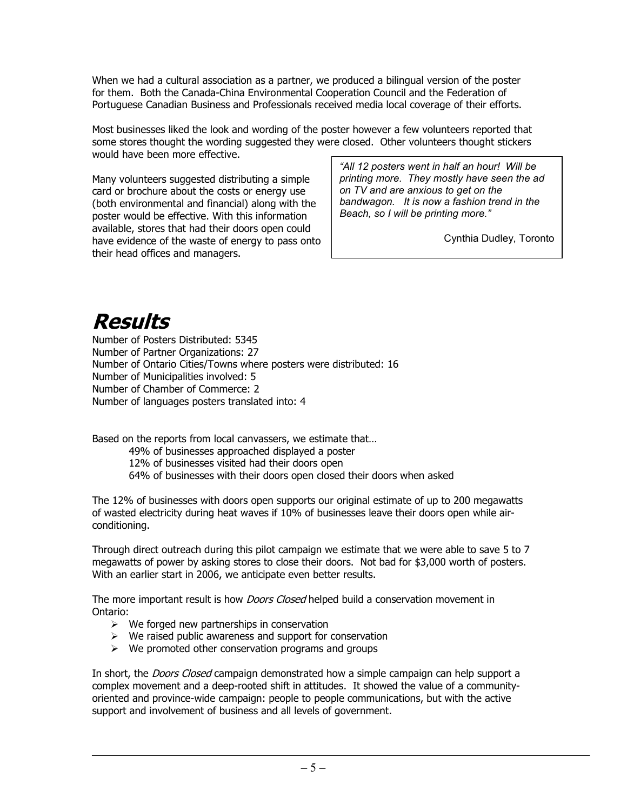When we had a cultural association as a partner, we produced a bilingual version of the poster for them. Both the Canada-China Environmental Cooperation Council and the Federation of Portuguese Canadian Business and Professionals received media local coverage of their efforts.

Most businesses liked the look and wording of the poster however a few volunteers reported that some stores thought the wording suggested they were closed. Other volunteers thought stickers would have been more effective.

Many volunteers suggested distributing a simple card or brochure about the costs or energy use (both environmental and financial) along with the poster would be effective. With this information available, stores that had their doors open could have evidence of the waste of energy to pass onto their head offices and managers.

*"All 12 posters went in half an hour! Will be printing more. They mostly have seen the ad on TV and are anxious to get on the bandwagon. It is now a fashion trend in the Beach, so I will be printing more."*

Cynthia Dudley, Toronto

### **Results**

Number of Posters Distributed: 5345 Number of Partner Organizations: 27 Number of Ontario Cities/Towns where posters were distributed: 16 Number of Municipalities involved: 5 Number of Chamber of Commerce: 2 Number of languages posters translated into: 4

Based on the reports from local canvassers, we estimate that…

49% of businesses approached displayed a poster

12% of businesses visited had their doors open

64% of businesses with their doors open closed their doors when asked

The 12% of businesses with doors open supports our original estimate of up to 200 megawatts of wasted electricity during heat waves if 10% of businesses leave their doors open while airconditioning.

Through direct outreach during this pilot campaign we estimate that we were able to save 5 to 7 megawatts of power by asking stores to close their doors. Not bad for \$3,000 worth of posters. With an earlier start in 2006, we anticipate even better results.

The more important result is how *Doors Closed* helped build a conservation movement in Ontario:

- $\triangleright$  We forged new partnerships in conservation
- $\triangleright$  We raised public awareness and support for conservation
- $\triangleright$  We promoted other conservation programs and groups

In short, the *Doors Closed* campaign demonstrated how a simple campaign can help support a complex movement and a deep-rooted shift in attitudes. It showed the value of a communityoriented and province-wide campaign: people to people communications, but with the active support and involvement of business and all levels of government.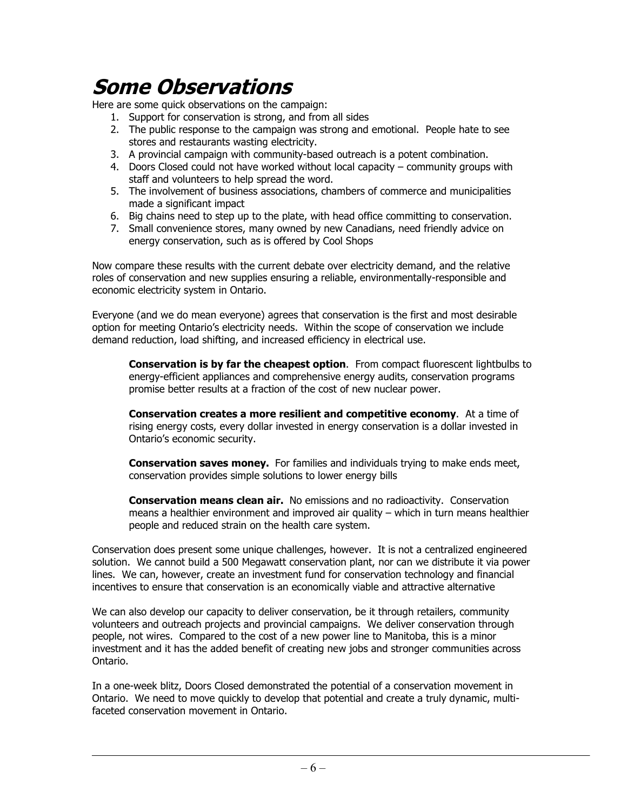#### **Some Observations**

Here are some quick observations on the campaign:

- 1. Support for conservation is strong, and from all sides
- 2. The public response to the campaign was strong and emotional. People hate to see stores and restaurants wasting electricity.
- 3. A provincial campaign with community-based outreach is a potent combination.
- 4. Doors Closed could not have worked without local capacity community groups with staff and volunteers to help spread the word.
- 5. The involvement of business associations, chambers of commerce and municipalities made a significant impact
- 6. Big chains need to step up to the plate, with head office committing to conservation.
- 7. Small convenience stores, many owned by new Canadians, need friendly advice on energy conservation, such as is offered by Cool Shops

Now compare these results with the current debate over electricity demand, and the relative roles of conservation and new supplies ensuring a reliable, environmentally-responsible and economic electricity system in Ontario.

Everyone (and we do mean everyone) agrees that conservation is the first and most desirable option for meeting Ontario's electricity needs. Within the scope of conservation we include demand reduction, load shifting, and increased efficiency in electrical use.

**Conservation is by far the cheapest option**. From compact fluorescent lightbulbs to energy-efficient appliances and comprehensive energy audits, conservation programs promise better results at a fraction of the cost of new nuclear power.

**Conservation creates a more resilient and competitive economy**. At a time of rising energy costs, every dollar invested in energy conservation is a dollar invested in Ontario's economic security.

**Conservation saves money.** For families and individuals trying to make ends meet, conservation provides simple solutions to lower energy bills

**Conservation means clean air.** No emissions and no radioactivity. Conservation means a healthier environment and improved air quality – which in turn means healthier people and reduced strain on the health care system.

Conservation does present some unique challenges, however. It is not a centralized engineered solution. We cannot build a 500 Megawatt conservation plant, nor can we distribute it via power lines. We can, however, create an investment fund for conservation technology and financial incentives to ensure that conservation is an economically viable and attractive alternative

We can also develop our capacity to deliver conservation, be it through retailers, community volunteers and outreach projects and provincial campaigns. We deliver conservation through people, not wires. Compared to the cost of a new power line to Manitoba, this is a minor investment and it has the added benefit of creating new jobs and stronger communities across Ontario.

In a one-week blitz, Doors Closed demonstrated the potential of a conservation movement in Ontario. We need to move quickly to develop that potential and create a truly dynamic, multifaceted conservation movement in Ontario.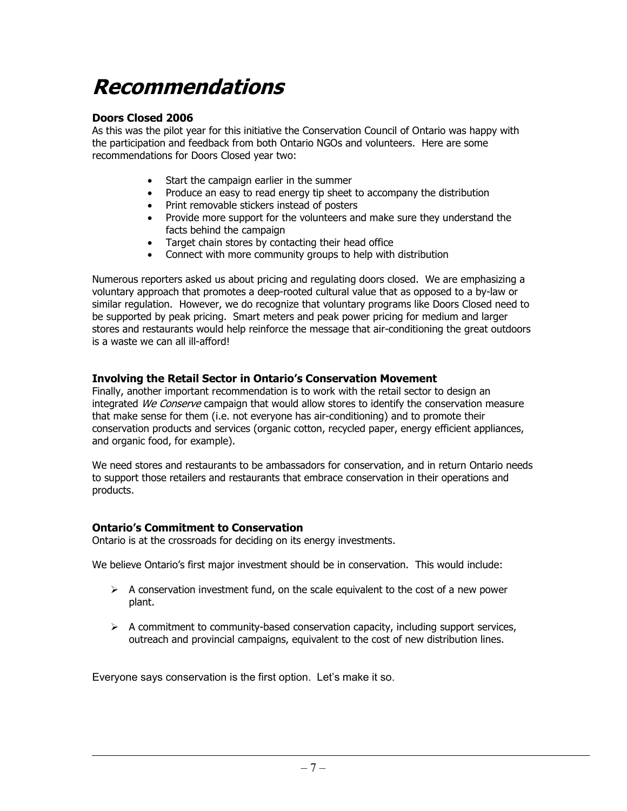### **Recommendations**

#### **Doors Closed 2006**

As this was the pilot year for this initiative the Conservation Council of Ontario was happy with the participation and feedback from both Ontario NGOs and volunteers. Here are some recommendations for Doors Closed year two:

- Start the campaign earlier in the summer
- Produce an easy to read energy tip sheet to accompany the distribution
- Print removable stickers instead of posters
- Provide more support for the volunteers and make sure they understand the facts behind the campaign
- Target chain stores by contacting their head office
- Connect with more community groups to help with distribution

Numerous reporters asked us about pricing and regulating doors closed. We are emphasizing a voluntary approach that promotes a deep-rooted cultural value that as opposed to a by-law or similar regulation. However, we do recognize that voluntary programs like Doors Closed need to be supported by peak pricing. Smart meters and peak power pricing for medium and larger stores and restaurants would help reinforce the message that air-conditioning the great outdoors is a waste we can all ill-afford!

#### **Involving the Retail Sector in Ontario's Conservation Movement**

Finally, another important recommendation is to work with the retail sector to design an integrated We Conserve campaign that would allow stores to identify the conservation measure that make sense for them (i.e. not everyone has air-conditioning) and to promote their conservation products and services (organic cotton, recycled paper, energy efficient appliances, and organic food, for example).

We need stores and restaurants to be ambassadors for conservation, and in return Ontario needs to support those retailers and restaurants that embrace conservation in their operations and products.

#### **Ontario's Commitment to Conservation**

Ontario is at the crossroads for deciding on its energy investments.

We believe Ontario's first major investment should be in conservation. This would include:

- $\triangleright$  A conservation investment fund, on the scale equivalent to the cost of a new power plant.
- $\triangleright$  A commitment to community-based conservation capacity, including support services, outreach and provincial campaigns, equivalent to the cost of new distribution lines.

Everyone says conservation is the first option. Let's make it so.